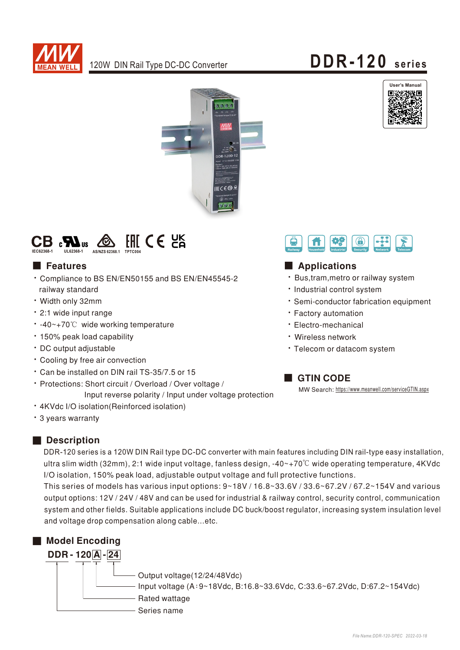







- Compliance to BS EN/EN50155 and BS EN/EN45545-2 railway standard
- Width only 32mm
- 2:1 wide input range
- -40~+70℃ wide working temperature
- 150% peak load capability
- DC output adjustable
- Cooling by free air convection
- \* Can be installed on DIN rail TS-35/7.5 or 15
- Protections: Short circuit / Overload / Over voltage / Input reverse polarity / Input under voltage protection
- 4KVdc I/O isolation(Reinforced isolation)
- 3 years warranty

### Description

DDR-120 series is a 120W DIN Rail type DC-DC converter with main features including DIN rail-type easy installation, ultra slim width (32mm), 2:1 wide input voltage, fanless design, -40∼+70℃ wide operating temperature, 4KVdc I/O isolation, 150% peak load, adjustable output voltage and full protective functions.

This series of models has various input options:  $9~18$ V /  $16.8~33.6$ V / 33.6 $~67.2$ V / 67.2 $~154$ V and various output options: 12V / 24V / 48V and can be used for industrial & railway control, security control, communication system and other fields. Suitable applications include DC buck/boost regulator, increasing system insulation level and voltage drop compensation along cable...etc.







### ■ Features ■ Pressure and Pressure and Pressure and Pressure and Pressure and Pressure and Pressure and Pressure and Pressure and Pressure and Pressure and Pressure and Pressure and Pressure and Pressure and Pressure and

- Bus, tram, metro or railway system
- · Industrial control system
- · Semi-conductor fabrication equipment
- Factory automation
- Electro-mechanical
- Wireless network
- Telecom or datacom system

**GTIN CODE** 

MW Search: https://www.meanwell.com/serviceGTIN.aspx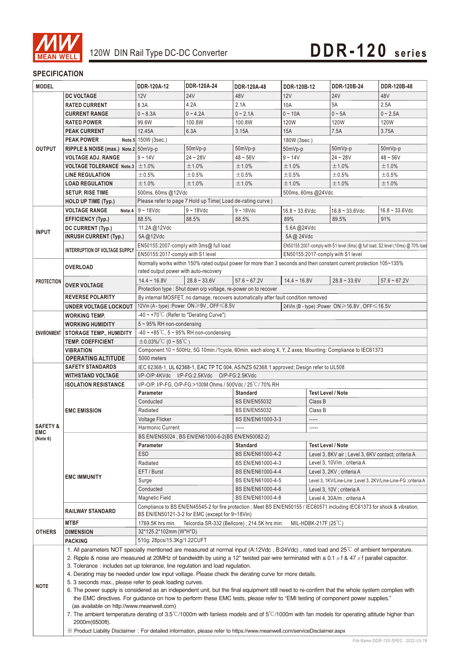

#### **SPECIFICATION**

 $\overline{\phantom{a}}$ 

| <b>MODEL</b>        |                                                                                                                                                                                                                                                                                                                                                                                                                                                                                                                                        | DDR-120A-12                                                                                                                                                                  | DDR-120A-24                                                                            | DDR-120A-48                | DDR-120B-12                                                                         | DDR-120B-24                                  | DDR-120B-48       |  |  |
|---------------------|----------------------------------------------------------------------------------------------------------------------------------------------------------------------------------------------------------------------------------------------------------------------------------------------------------------------------------------------------------------------------------------------------------------------------------------------------------------------------------------------------------------------------------------|------------------------------------------------------------------------------------------------------------------------------------------------------------------------------|----------------------------------------------------------------------------------------|----------------------------|-------------------------------------------------------------------------------------|----------------------------------------------|-------------------|--|--|
|                     | <b>DC VOLTAGE</b>                                                                                                                                                                                                                                                                                                                                                                                                                                                                                                                      | 12V                                                                                                                                                                          | <b>24V</b>                                                                             | 48V                        | 12V                                                                                 | <b>24V</b>                                   | 48V               |  |  |
|                     | <b>RATED CURRENT</b>                                                                                                                                                                                                                                                                                                                                                                                                                                                                                                                   | 8.3A                                                                                                                                                                         | 4.2A                                                                                   | 2.1A                       | 10A                                                                                 | 5A                                           | 2.5A              |  |  |
|                     | <b>CURRENT RANGE</b>                                                                                                                                                                                                                                                                                                                                                                                                                                                                                                                   | $0 - 8.3A$                                                                                                                                                                   | $0 - 4.2A$                                                                             | $0 - 2.1A$                 | $0 - 10A$                                                                           | $0 \sim 5A$                                  | $0 - 2.5A$        |  |  |
|                     | <b>RATED POWER</b>                                                                                                                                                                                                                                                                                                                                                                                                                                                                                                                     | 99.6W                                                                                                                                                                        | 100.8W                                                                                 | 100.8W                     | 120W                                                                                | <b>120W</b>                                  | <b>120W</b>       |  |  |
|                     | <b>PEAK CURRENT</b>                                                                                                                                                                                                                                                                                                                                                                                                                                                                                                                    | 12.45A                                                                                                                                                                       | 6.3A                                                                                   | 3.15A                      | 15A                                                                                 | 7.5A                                         | 3.75A             |  |  |
|                     | <b>PEAK POWER</b>                                                                                                                                                                                                                                                                                                                                                                                                                                                                                                                      |                                                                                                                                                                              |                                                                                        |                            |                                                                                     |                                              |                   |  |  |
|                     |                                                                                                                                                                                                                                                                                                                                                                                                                                                                                                                                        | Note.5 150W (3sec.)<br>180W (3sec.)                                                                                                                                          |                                                                                        |                            |                                                                                     |                                              |                   |  |  |
| <b>OUTPUT</b>       | RIPPLE & NOISE (max.) Note.2 50mVp-p                                                                                                                                                                                                                                                                                                                                                                                                                                                                                                   |                                                                                                                                                                              | 50mVp-p                                                                                | 50mVp-p                    | 50mVp-p                                                                             | 50mVp-p                                      | 50mVp-p           |  |  |
|                     | <b>VOLTAGE ADJ. RANGE</b>                                                                                                                                                                                                                                                                                                                                                                                                                                                                                                              | $9 - 14V$                                                                                                                                                                    | $24 - 28V$                                                                             | $48 - 56V$                 | $9 - 14V$                                                                           | $24 - 28V$                                   | $48 - 56V$        |  |  |
|                     | <b>VOLTAGE TOLERANCE Note.3</b>                                                                                                                                                                                                                                                                                                                                                                                                                                                                                                        | ±1.0%                                                                                                                                                                        | ±1.0%                                                                                  | ±1.0%                      | ±1.0%                                                                               | ±1.0%                                        | ±1.0%             |  |  |
|                     | <b>LINE REGULATION</b>                                                                                                                                                                                                                                                                                                                                                                                                                                                                                                                 | ±0.5%                                                                                                                                                                        | ±0.5%                                                                                  | ±0.5%                      | ±0.5%                                                                               | ±0.5%                                        | ±0.5%             |  |  |
|                     | <b>LOAD REGULATION</b>                                                                                                                                                                                                                                                                                                                                                                                                                                                                                                                 | ±1.0%                                                                                                                                                                        | ±1.0%                                                                                  | ±1.0%                      | ±1.0%                                                                               | ±1.0%                                        | ±1.0%             |  |  |
|                     | <b>SETUP, RISE TIME</b>                                                                                                                                                                                                                                                                                                                                                                                                                                                                                                                |                                                                                                                                                                              | 500ms, 60ms @12Vdc<br>500ms, 60ms @24Vdc                                               |                            |                                                                                     |                                              |                   |  |  |
|                     | <b>HOLD UP TIME (Typ.)</b>                                                                                                                                                                                                                                                                                                                                                                                                                                                                                                             |                                                                                                                                                                              | Please refer to page 7 Hold up Time(Load de-rating curve)                              |                            |                                                                                     |                                              |                   |  |  |
|                     | <b>VOLTAGE RANGE</b><br>Note.4                                                                                                                                                                                                                                                                                                                                                                                                                                                                                                         | $9 - 18$ Vdc                                                                                                                                                                 | $9 - 18$ Vdc                                                                           | $9 - 18$ Vdc               | 16.8 ~ 33.6Vdc                                                                      | $16.8 - 33.6$ Vdc                            | $16.8 - 33.6$ Vdc |  |  |
|                     | <b>EFFICIENCY (Typ.)</b>                                                                                                                                                                                                                                                                                                                                                                                                                                                                                                               | 88.5%                                                                                                                                                                        | 88.5%                                                                                  | 88.5%                      | 89%                                                                                 | 89.5%                                        | 91%               |  |  |
| <b>INPUT</b>        | DC CURRENT (Typ.)                                                                                                                                                                                                                                                                                                                                                                                                                                                                                                                      | 11.2A@12Vdc<br>5.6A@24Vdc                                                                                                                                                    |                                                                                        |                            |                                                                                     |                                              |                   |  |  |
|                     | <b>INRUSH CURRENT (Typ.)</b>                                                                                                                                                                                                                                                                                                                                                                                                                                                                                                           | 5A@12Vdc                                                                                                                                                                     |                                                                                        |                            | 5A @ 24Vdc                                                                          |                                              |                   |  |  |
|                     | INTERRUPTION OF VOLTAGE SUPPLY                                                                                                                                                                                                                                                                                                                                                                                                                                                                                                         | EN50155:2007-comply with 3ms@ full load                                                                                                                                      |                                                                                        |                            | EN50155:2007-comply with S1 level (6ms) @ full load, S2 level (10ms) @ 70% load     |                                              |                   |  |  |
|                     |                                                                                                                                                                                                                                                                                                                                                                                                                                                                                                                                        | EN50155:2017-comply with S1 level<br>EN50155:2017-comply with S1 level                                                                                                       |                                                                                        |                            |                                                                                     |                                              |                   |  |  |
|                     | <b>OVERLOAD</b>                                                                                                                                                                                                                                                                                                                                                                                                                                                                                                                        | Normally works within 150% rated output power for more than 3 seconds and then constant current protection 105~135%                                                          |                                                                                        |                            |                                                                                     |                                              |                   |  |  |
|                     |                                                                                                                                                                                                                                                                                                                                                                                                                                                                                                                                        | rated output power with auto-recovery                                                                                                                                        |                                                                                        |                            |                                                                                     |                                              |                   |  |  |
| <b>PROTECTION</b>   | <b>OVER VOLTAGE</b>                                                                                                                                                                                                                                                                                                                                                                                                                                                                                                                    | $14.4 - 16.8V$                                                                                                                                                               | $288 - 336V$                                                                           | $57.6 - 67.2V$             | $14.4 - 16.8V$                                                                      | $28.8 - 33.6V$                               | $57.6 - 67.2V$    |  |  |
|                     |                                                                                                                                                                                                                                                                                                                                                                                                                                                                                                                                        |                                                                                                                                                                              | Protection type : Shut down o/p voltage, re-power on to recover                        |                            |                                                                                     |                                              |                   |  |  |
|                     | <b>REVERSE POLARITY</b>                                                                                                                                                                                                                                                                                                                                                                                                                                                                                                                |                                                                                                                                                                              |                                                                                        |                            | By internal MOSFET, no damage, recovers automatically after fault condition removed |                                              |                   |  |  |
|                     | <b>UNDER VOLTAGE LOCKOUT</b>                                                                                                                                                                                                                                                                                                                                                                                                                                                                                                           |                                                                                                                                                                              | 12Vin (A - type) :Power ON≥9V, OFF ≤8.5V                                               |                            |                                                                                     | 24Vin (B - type) :Power ON≥16.8V, OFF ≤16.5V |                   |  |  |
|                     | WORKING TEMP.                                                                                                                                                                                                                                                                                                                                                                                                                                                                                                                          | $-40 \sim +70^{\circ}$ (Refer to "Derating Curve")                                                                                                                           |                                                                                        |                            |                                                                                     |                                              |                   |  |  |
|                     | <b>WORKING HUMIDITY</b>                                                                                                                                                                                                                                                                                                                                                                                                                                                                                                                | 5~95% RH non-condensing                                                                                                                                                      |                                                                                        |                            |                                                                                     |                                              |                   |  |  |
| <b>ENVIRONMENT</b>  | <b>STORAGE TEMP., HUMIDITY</b>                                                                                                                                                                                                                                                                                                                                                                                                                                                                                                         | $-40 \sim +85^{\circ}$ C, 5 ~ 95% RH non-condensing                                                                                                                          |                                                                                        |                            |                                                                                     |                                              |                   |  |  |
|                     | <b>TEMP. COEFFICIENT</b>                                                                                                                                                                                                                                                                                                                                                                                                                                                                                                               | $\pm$ 0.03%/°C (0 ~ 55°C)                                                                                                                                                    |                                                                                        |                            |                                                                                     |                                              |                   |  |  |
|                     | VIBRATION                                                                                                                                                                                                                                                                                                                                                                                                                                                                                                                              | Component: 10 ~ 500Hz, 5G 10min./1cycle, 60min. each along X, Y, Z axes; Mounting: Compliance to IEC61373<br>5000 meters                                                     |                                                                                        |                            |                                                                                     |                                              |                   |  |  |
|                     | <b>OPERATING ALTITUDE</b>                                                                                                                                                                                                                                                                                                                                                                                                                                                                                                              |                                                                                                                                                                              | IEC 62368-1, UL 62368-1, EAC TP TC 004, AS/NZS 62368.1 approved; Design refer to UL508 |                            |                                                                                     |                                              |                   |  |  |
|                     | <b>SAFETY STANDARDS</b><br>WITHSTAND VOLTAGE                                                                                                                                                                                                                                                                                                                                                                                                                                                                                           | I/P-O/P:4KVdc I/P-FG:2.5KVdc O/P-FG:2.5KVdc                                                                                                                                  |                                                                                        |                            |                                                                                     |                                              |                   |  |  |
|                     | <b>ISOLATION RESISTANCE</b>                                                                                                                                                                                                                                                                                                                                                                                                                                                                                                            | I/P-O/P, I/P-FG, O/P-FG:>100M Ohms / 500Vdc / 25°C / 70% RH                                                                                                                  |                                                                                        |                            |                                                                                     |                                              |                   |  |  |
|                     |                                                                                                                                                                                                                                                                                                                                                                                                                                                                                                                                        | <b>Test Level / Note</b><br>Parameter<br><b>Standard</b>                                                                                                                     |                                                                                        |                            |                                                                                     |                                              |                   |  |  |
|                     | <b>EMC EMISSION</b><br><b>EMC IMMUNITY</b>                                                                                                                                                                                                                                                                                                                                                                                                                                                                                             | Conducted<br><b>BS EN/EN55032</b>                                                                                                                                            |                                                                                        |                            |                                                                                     | Class B                                      |                   |  |  |
|                     |                                                                                                                                                                                                                                                                                                                                                                                                                                                                                                                                        | Radiated<br><b>BS EN/EN55032</b>                                                                                                                                             |                                                                                        |                            | Class B                                                                             |                                              |                   |  |  |
|                     |                                                                                                                                                                                                                                                                                                                                                                                                                                                                                                                                        | <b>Voltage Flicker</b><br>BS EN/EN61000-3-3                                                                                                                                  |                                                                                        | -----                      |                                                                                     |                                              |                   |  |  |
| <b>SAFETY &amp;</b> |                                                                                                                                                                                                                                                                                                                                                                                                                                                                                                                                        | Harmonic Current<br>$- - - - -$<br>$- - - - -$                                                                                                                               |                                                                                        |                            |                                                                                     |                                              |                   |  |  |
| <b>EMC</b>          |                                                                                                                                                                                                                                                                                                                                                                                                                                                                                                                                        | BS EN/EN55024, BS EN/EN61000-6-2(BS EN/EN50082-2)                                                                                                                            |                                                                                        |                            |                                                                                     |                                              |                   |  |  |
| (Note 6)            |                                                                                                                                                                                                                                                                                                                                                                                                                                                                                                                                        | Parameter<br><b>Standard</b>                                                                                                                                                 |                                                                                        | <b>Test Level / Note</b>   |                                                                                     |                                              |                   |  |  |
|                     |                                                                                                                                                                                                                                                                                                                                                                                                                                                                                                                                        | <b>ESD</b><br>BS EN/EN61000-4-2                                                                                                                                              |                                                                                        |                            | Level 3, 8KV air ; Level 3, 6KV contact; criteria A                                 |                                              |                   |  |  |
|                     |                                                                                                                                                                                                                                                                                                                                                                                                                                                                                                                                        | Radiated<br>BS EN/EN61000-4-3                                                                                                                                                |                                                                                        | Level 3, 10V/m; criteria A |                                                                                     |                                              |                   |  |  |
|                     |                                                                                                                                                                                                                                                                                                                                                                                                                                                                                                                                        | EFT / Burst<br>BS EN/EN61000-4-4                                                                                                                                             |                                                                                        | Level 3, 2KV ; criteria A  |                                                                                     |                                              |                   |  |  |
|                     |                                                                                                                                                                                                                                                                                                                                                                                                                                                                                                                                        | Surge                                                                                                                                                                        |                                                                                        | BS EN/EN61000-4-5          | Level 3, 1KV/Line-Line ; Level 3, 2KV/Line-Line-FG ; criteria A                     |                                              |                   |  |  |
|                     |                                                                                                                                                                                                                                                                                                                                                                                                                                                                                                                                        | Conducted                                                                                                                                                                    |                                                                                        | BS EN/EN61000-4-6          |                                                                                     |                                              |                   |  |  |
|                     |                                                                                                                                                                                                                                                                                                                                                                                                                                                                                                                                        | Level 3, 10V ; criteria A<br>BS EN/EN61000-4-8<br>Magnetic Field<br>Level 4, 30A/m ; criteria A                                                                              |                                                                                        |                            |                                                                                     |                                              |                   |  |  |
|                     |                                                                                                                                                                                                                                                                                                                                                                                                                                                                                                                                        |                                                                                                                                                                              |                                                                                        |                            |                                                                                     |                                              |                   |  |  |
|                     | RAILWAY STANDARD                                                                                                                                                                                                                                                                                                                                                                                                                                                                                                                       | Compliance to BS EN/EN45545-2 for fire protection; Meet BS EN/EN50155 / IEC60571 including IEC61373 for shock & vibration,<br>BS EN/EN50121-3-2 for EMC (except for 9~18Vin) |                                                                                        |                            |                                                                                     |                                              |                   |  |  |
|                     | <b>MTBF</b>                                                                                                                                                                                                                                                                                                                                                                                                                                                                                                                            | MIL-HDBK-217F $(25^{\circ}C)$<br>1769.5K hrs min.<br>Telcordia SR-332 (Bellcore) ; 214.5K hrs min.                                                                           |                                                                                        |                            |                                                                                     |                                              |                   |  |  |
| <b>OTHERS</b>       | <b>DIMENSION</b>                                                                                                                                                                                                                                                                                                                                                                                                                                                                                                                       | 32*125.2*102mm (W*H*D)                                                                                                                                                       |                                                                                        |                            |                                                                                     |                                              |                   |  |  |
|                     | <b>PACKING</b>                                                                                                                                                                                                                                                                                                                                                                                                                                                                                                                         | 510g; 28pcs/15.3Kg/1.22CUFT                                                                                                                                                  |                                                                                        |                            |                                                                                     |                                              |                   |  |  |
| <b>NOTE</b>         | 1. All parameters NOT specially mentioned are measured at normal input (A:12Vdc, B:24Vdc), rated load and 25°C of ambient temperature.<br>2. Ripple & noise are measured at 20MHz of bandwidth by using a 12" twisted pair-wire terminated with a 0.1 $\mu$ f & 47 $\mu$ f parallel capacitor.<br>3. Tolerance : includes set up tolerance, line regulation and load regulation.<br>4. Derating may be needed under low input voltage. Please check the derating curve for more details.                                               |                                                                                                                                                                              |                                                                                        |                            |                                                                                     |                                              |                   |  |  |
|                     | 5. 3 seconds max., please refer to peak loading curves.<br>6. The power supply is considered as an independent unit, but the final equipment still need to re-confirm that the whole system complies with<br>the EMC directives. For guidance on how to perform these EMC tests, please refer to "EMI testing of component power supplies."<br>(as available on http://www.meanwell.com)<br>7. The ambient temperature derating of 3.5°C/1000m with fanless models and of 5°C/1000m with fan models for operating altitude higher than |                                                                                                                                                                              |                                                                                        |                            |                                                                                     |                                              |                   |  |  |
|                     | 2000m(6500ft).<br>X Product Liability Disclaimer: For detailed information, please refer to https://www.meanwell.com/serviceDisclaimer.aspx                                                                                                                                                                                                                                                                                                                                                                                            |                                                                                                                                                                              |                                                                                        |                            |                                                                                     |                                              |                   |  |  |

 $\overline{\phantom{a}}$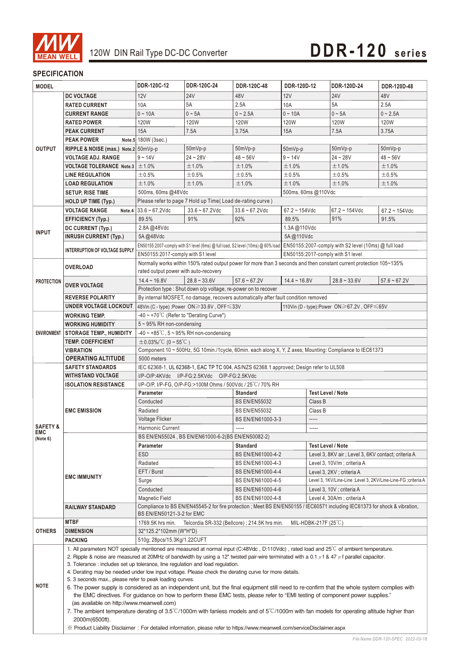

#### **SPECIFICATION**

I

| <b>MODEL</b>        |                                                                                                                                                      | DDR-120C-12                                                                                                                                                                 | DDR-120C-24                                               | DDR-120C-48                                                                         | DDR-120D-12                                                                       | DDR-120D-24                                                     | DDR-120D-48         |  |  |
|---------------------|------------------------------------------------------------------------------------------------------------------------------------------------------|-----------------------------------------------------------------------------------------------------------------------------------------------------------------------------|-----------------------------------------------------------|-------------------------------------------------------------------------------------|-----------------------------------------------------------------------------------|-----------------------------------------------------------------|---------------------|--|--|
|                     | <b>DC VOLTAGE</b>                                                                                                                                    | 12V                                                                                                                                                                         | <b>24V</b>                                                | 48V                                                                                 | 12V                                                                               | <b>24V</b>                                                      | 48V                 |  |  |
|                     | <b>RATED CURRENT</b>                                                                                                                                 | 10A                                                                                                                                                                         | 5A                                                        | 2.5A                                                                                | 10A                                                                               | 5A                                                              | 2.5A                |  |  |
|                     | <b>CURRENT RANGE</b>                                                                                                                                 | $0 - 10A$                                                                                                                                                                   | $0 \sim 5A$                                               | $0 - 2.5A$                                                                          | $0 - 10A$                                                                         | $0 \sim 5A$                                                     | $0 - 2.5A$          |  |  |
|                     | <b>RATED POWER</b>                                                                                                                                   | <b>120W</b>                                                                                                                                                                 | 120W                                                      | <b>120W</b>                                                                         | 120W                                                                              | <b>120W</b>                                                     | <b>120W</b>         |  |  |
|                     | <b>PEAK CURRENT</b>                                                                                                                                  | <b>15A</b>                                                                                                                                                                  | 7.5A                                                      | 3.75A                                                                               | 15A                                                                               | 7.5A                                                            | 3.75A               |  |  |
|                     | <b>PEAK POWER</b>                                                                                                                                    | Note.5 180W (3sec.)                                                                                                                                                         |                                                           |                                                                                     |                                                                                   |                                                                 |                     |  |  |
| <b>OUTPUT</b>       | RIPPLE & NOISE (max.) Note.2 50mVp-p                                                                                                                 |                                                                                                                                                                             | 50mVp-p                                                   | 50mVp-p                                                                             | 50mVp-p                                                                           | 50mVp-p                                                         | 50mVp-p             |  |  |
|                     | <b>VOLTAGE ADJ. RANGE</b>                                                                                                                            | $9 - 14V$                                                                                                                                                                   | $24 - 28V$                                                | $48 - 56V$                                                                          | $9 - 14V$                                                                         | $24 - 28V$                                                      | $48 - 56V$          |  |  |
|                     | VOLTAGE TOLERANCE Note.3 $\pm$ 1.0%                                                                                                                  |                                                                                                                                                                             | ±1.0%                                                     | ±1.0%                                                                               | ±1.0%                                                                             | ±1.0%                                                           | ±1.0%               |  |  |
|                     | <b>LINE REGULATION</b>                                                                                                                               | ±0.5%                                                                                                                                                                       | ±0.5%                                                     | ±0.5%                                                                               | ±0.5%                                                                             | ±0.5%                                                           | ±0.5%               |  |  |
|                     | <b>LOAD REGULATION</b>                                                                                                                               | ±1.0%                                                                                                                                                                       | ±1.0%                                                     | ±1.0%                                                                               | ±1.0%                                                                             | ±1.0%                                                           | ±1.0%               |  |  |
|                     |                                                                                                                                                      | 500ms, 60ms @48Vdc                                                                                                                                                          |                                                           |                                                                                     | 500ms, 60ms @110Vdc                                                               |                                                                 |                     |  |  |
|                     | <b>SETUP, RISE TIME</b>                                                                                                                              |                                                                                                                                                                             | Please refer to page 7 Hold up Time(Load de-rating curve) |                                                                                     |                                                                                   |                                                                 |                     |  |  |
|                     | <b>HOLD UP TIME (Typ.)</b>                                                                                                                           |                                                                                                                                                                             |                                                           |                                                                                     |                                                                                   |                                                                 |                     |  |  |
|                     | <b>VOLTAGE RANGE</b><br>Note.4                                                                                                                       | $33.6 - 67.2$ Vdc                                                                                                                                                           | $33.6 - 67.2$ Vdc                                         | $33.6 - 67.2$ Vdc                                                                   | $67.2 - 154$ Vdc                                                                  | $67.2 \sim 154$ Vdc                                             | $67.2 \sim 154$ Vdc |  |  |
|                     | <b>EFFICIENCY (Typ.)</b>                                                                                                                             | 89.5%                                                                                                                                                                       | 91%                                                       | 92%                                                                                 | 89.5%                                                                             | 91%                                                             | 91.5%               |  |  |
| <b>INPUT</b>        | DC CURRENT (Typ.)                                                                                                                                    | 2.8A@48Vdc                                                                                                                                                                  |                                                           |                                                                                     | 1.3A@110Vdc                                                                       |                                                                 |                     |  |  |
|                     | <b>INRUSH CURRENT (Typ.)</b>                                                                                                                         | 5A@48Vdc                                                                                                                                                                    |                                                           |                                                                                     |                                                                                   | 5A@110Vdc                                                       |                     |  |  |
|                     | <b>INTERRUPTION OF VOLTAGE SUPPLY</b>                                                                                                                | EN50155:2007-comply with S1 level (6ms) @ full load, S2 level (10ms) @ 60% load                                                                                             |                                                           |                                                                                     | EN50155:2007-comply with S2 level (10ms) $@$ full load                            |                                                                 |                     |  |  |
|                     |                                                                                                                                                      | EN50155:2017-comply with S1 level<br>EN50155:2017-comply with S1 level                                                                                                      |                                                           |                                                                                     |                                                                                   |                                                                 |                     |  |  |
|                     | <b>OVERLOAD</b>                                                                                                                                      | Normally works within 150% rated output power for more than 3 seconds and then constant current protection 105~135%                                                         |                                                           |                                                                                     |                                                                                   |                                                                 |                     |  |  |
|                     |                                                                                                                                                      | rated output power with auto-recovery                                                                                                                                       |                                                           |                                                                                     |                                                                                   |                                                                 |                     |  |  |
| <b>PROTECTION</b>   | <b>OVER VOLTAGE</b>                                                                                                                                  | $14.4 - 16.8V$                                                                                                                                                              | $28.8 - 33.6V$                                            | $57.6 - 67.2V$                                                                      | $14.4 \sim 16.8$ V                                                                | $28.8 - 33.6V$                                                  | $57.6 - 67.2V$      |  |  |
|                     |                                                                                                                                                      |                                                                                                                                                                             |                                                           | Protection type : Shut down o/p voltage, re-power on to recover                     |                                                                                   |                                                                 |                     |  |  |
|                     | <b>REVERSE POLARITY</b>                                                                                                                              |                                                                                                                                                                             |                                                           | By internal MOSFET, no damage, recovers automatically after fault condition removed |                                                                                   |                                                                 |                     |  |  |
|                     | <b>UNDER VOLTAGE LOCKOUT</b>                                                                                                                         |                                                                                                                                                                             | 48Vin (C - type) :Power ON≥33.6V, OFF ≤33V                |                                                                                     |                                                                                   | 110Vin (D - type):Power ON≥67.2V, OFF ≤65V                      |                     |  |  |
|                     | <b>WORKING TEMP.</b>                                                                                                                                 | $-40 \sim +70^{\circ}$ (Refer to "Derating Curve")                                                                                                                          |                                                           |                                                                                     |                                                                                   |                                                                 |                     |  |  |
|                     | <b>WORKING HUMIDITY</b>                                                                                                                              | $5 \sim 95\%$ RH non-condensing                                                                                                                                             |                                                           |                                                                                     |                                                                                   |                                                                 |                     |  |  |
| <b>ENVIRONMENT</b>  | <b>STORAGE TEMP., HUMIDITY</b>                                                                                                                       | $-40 \sim +85^{\circ}$ C, 5 ~ 95% RH non-condensing                                                                                                                         |                                                           |                                                                                     |                                                                                   |                                                                 |                     |  |  |
|                     | <b>TEMP. COEFFICIENT</b>                                                                                                                             | $\pm 0.03\%$ /°C (0 ~ 55°C)                                                                                                                                                 |                                                           |                                                                                     |                                                                                   |                                                                 |                     |  |  |
|                     | VIBRATION                                                                                                                                            | Component: 10 ~ 500Hz, 5G 10min./1cycle, 60min. each along X, Y, Z axes; Mounting: Compliance to IEC61373                                                                   |                                                           |                                                                                     |                                                                                   |                                                                 |                     |  |  |
|                     | <b>OPERATING ALTITUDE</b>                                                                                                                            | 5000 meters                                                                                                                                                                 |                                                           |                                                                                     |                                                                                   |                                                                 |                     |  |  |
|                     | <b>SAFETY STANDARDS</b>                                                                                                                              | IEC 62368-1, UL 62368-1, EAC TP TC 004, AS/NZS 62368.1 approved; Design refer to UL508                                                                                      |                                                           |                                                                                     |                                                                                   |                                                                 |                     |  |  |
|                     | WITHSTAND VOLTAGE                                                                                                                                    | I/P-O/P:4KVdc I/P-FG:2.5KVdc O/P-FG:2.5KVdc<br>I/P-O/P, I/P-FG, O/P-FG:>100M Ohms / 500Vdc / 25°C / 70% RH                                                                  |                                                           |                                                                                     |                                                                                   |                                                                 |                     |  |  |
|                     | <b>ISOLATION RESISTANCE</b>                                                                                                                          | <b>Parameter</b>                                                                                                                                                            |                                                           |                                                                                     |                                                                                   |                                                                 |                     |  |  |
|                     |                                                                                                                                                      | Conducted<br><b>BS EN/EN55032</b>                                                                                                                                           |                                                           | Standard                                                                            | <b>Test Level / Note</b><br>Class B                                               |                                                                 |                     |  |  |
|                     | <b>EMC EMISSION</b>                                                                                                                                  | Radiated<br><b>BS EN/EN55032</b>                                                                                                                                            |                                                           |                                                                                     | Class B                                                                           |                                                                 |                     |  |  |
|                     |                                                                                                                                                      | Voltage Flicker                                                                                                                                                             |                                                           | -----                                                                               |                                                                                   |                                                                 |                     |  |  |
| <b>SAFETY &amp;</b> |                                                                                                                                                      | BS EN/EN61000-3-3<br>-----<br>-----                                                                                                                                         |                                                           |                                                                                     |                                                                                   |                                                                 |                     |  |  |
| <b>EMC</b>          |                                                                                                                                                      | Harmonic Current<br>BS EN/EN55024, BS EN/EN61000-6-2(BS EN/EN50082-2)                                                                                                       |                                                           |                                                                                     |                                                                                   |                                                                 |                     |  |  |
| (Note 6)            | <b>EMC IMMUNITY</b>                                                                                                                                  | <b>Parameter</b>                                                                                                                                                            |                                                           | <b>Standard</b>                                                                     |                                                                                   | <b>Test Level / Note</b>                                        |                     |  |  |
|                     |                                                                                                                                                      | <b>ESD</b>                                                                                                                                                                  |                                                           | BS EN/EN61000-4-2                                                                   |                                                                                   |                                                                 |                     |  |  |
|                     |                                                                                                                                                      | Radiated<br>BS EN/EN61000-4-3                                                                                                                                               |                                                           |                                                                                     | Level 3, 8KV air ; Level 3, 6KV contact; criteria A<br>Level 3, 10V/m; criteria A |                                                                 |                     |  |  |
|                     |                                                                                                                                                      | EFT / Burst<br>BS EN/EN61000-4-4                                                                                                                                            |                                                           |                                                                                     | Level 3, 2KV ; criteria A                                                         |                                                                 |                     |  |  |
|                     |                                                                                                                                                      |                                                                                                                                                                             |                                                           | BS EN/EN61000-4-5                                                                   |                                                                                   | Level 3, 1KV/Line-Line ; Level 3, 2KV/Line-Line-FG ; criteria A |                     |  |  |
|                     |                                                                                                                                                      | Surge                                                                                                                                                                       |                                                           |                                                                                     |                                                                                   |                                                                 |                     |  |  |
|                     |                                                                                                                                                      | BS EN/EN61000-4-6<br>Conducted<br>Level 3, 10V; criteria A<br>BS EN/EN61000-4-8<br>Magnetic Field                                                                           |                                                           |                                                                                     |                                                                                   |                                                                 |                     |  |  |
|                     | <b>RAILWAY STANDARD</b>                                                                                                                              | Level 4, 30A/m; criteria A<br>Compliance to BS EN/EN45545-2 for fire protection ; Meet BS EN/EN50155 / IEC60571 including IEC61373 for shock & vibration,                   |                                                           |                                                                                     |                                                                                   |                                                                 |                     |  |  |
|                     |                                                                                                                                                      | BS EN/EN50121-3-2 for EMC                                                                                                                                                   |                                                           |                                                                                     |                                                                                   |                                                                 |                     |  |  |
|                     | <b>MTBF</b>                                                                                                                                          | 1769.5K hrs min.<br>Telcordia SR-332 (Bellcore); 214.5K hrs min.<br>MIL-HDBK-217F $(25^{\circ}C)$                                                                           |                                                           |                                                                                     |                                                                                   |                                                                 |                     |  |  |
| <b>OTHERS</b>       | <b>DIMENSION</b>                                                                                                                                     | 32*125.2*102mm (W*H*D)                                                                                                                                                      |                                                           |                                                                                     |                                                                                   |                                                                 |                     |  |  |
|                     | <b>PACKING</b>                                                                                                                                       | 510g; 28pcs/15.3Kg/1.22CUFT                                                                                                                                                 |                                                           |                                                                                     |                                                                                   |                                                                 |                     |  |  |
|                     | 1. All parameters NOT specially mentioned are measured at normal input (C:48Vdc, D:110Vdc), rated load and 25°C of ambient temperature.              |                                                                                                                                                                             |                                                           |                                                                                     |                                                                                   |                                                                 |                     |  |  |
|                     | 2. Ripple & noise are measured at 20MHz of bandwidth by using a 12" twisted pair-wire terminated with a 0.1 $\mu$ f & 47 $\mu$ f parallel capacitor. |                                                                                                                                                                             |                                                           |                                                                                     |                                                                                   |                                                                 |                     |  |  |
|                     | 3. Tolerance: includes set up tolerance, line regulation and load regulation.                                                                        |                                                                                                                                                                             |                                                           |                                                                                     |                                                                                   |                                                                 |                     |  |  |
|                     | 4. Derating may be needed under low input voltage. Please check the derating curve for more details.                                                 |                                                                                                                                                                             |                                                           |                                                                                     |                                                                                   |                                                                 |                     |  |  |
| <b>NOTE</b>         | 5. 3 seconds max., please refer to peak loading curves.                                                                                              |                                                                                                                                                                             |                                                           |                                                                                     |                                                                                   |                                                                 |                     |  |  |
|                     |                                                                                                                                                      | 6. The power supply is considered as an independent unit, but the final equipment still need to re-confirm that the whole system complies with                              |                                                           |                                                                                     |                                                                                   |                                                                 |                     |  |  |
|                     |                                                                                                                                                      | the EMC directives. For guidance on how to perform these EMC tests, please refer to "EMI testing of component power supplies."<br>(as available on http://www.meanwell.com) |                                                           |                                                                                     |                                                                                   |                                                                 |                     |  |  |
|                     |                                                                                                                                                      | 7. The ambient temperature derating of 3.5°C/1000m with fanless models and of 5°C/1000m with fan models for operating altitude higher than                                  |                                                           |                                                                                     |                                                                                   |                                                                 |                     |  |  |
|                     | 2000m(6500ft).                                                                                                                                       |                                                                                                                                                                             |                                                           |                                                                                     |                                                                                   |                                                                 |                     |  |  |
|                     | X Product Liability Disclaimer: For detailed information, please refer to https://www.meanwell.com/serviceDisclaimer.aspx                            |                                                                                                                                                                             |                                                           |                                                                                     |                                                                                   |                                                                 |                     |  |  |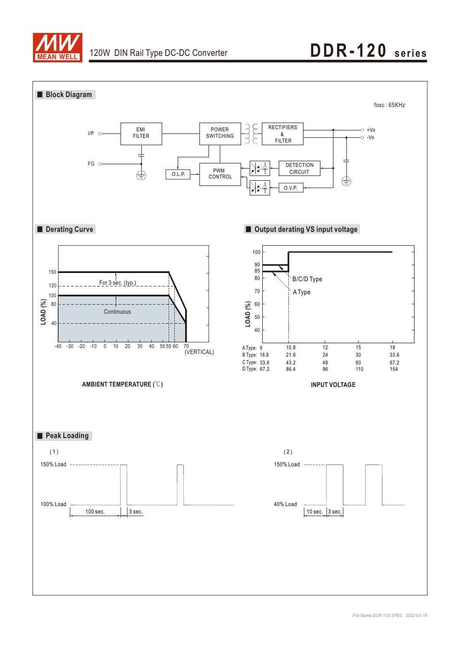

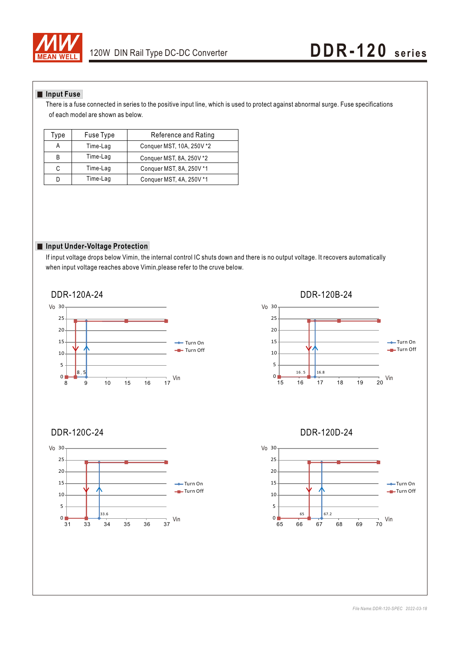

#### **Input Fuse**

There is a fuse connected in series to the positive input line, which is used to protect against abnormal surge. Fuse specifications of each model are shown as below.

| Type | Fuse Type | Reference and Rating      |
|------|-----------|---------------------------|
| Α    | Time-Lag  | Conquer MST, 10A, 250V *2 |
| B    | Time-Lag  | Conquer MST, 8A, 250V *2  |
| C    | Time-Lag  | Conquer MST, 8A, 250V *1  |
|      | Time-Lag  | Conquer MST, 4A, 250V *1  |

#### **Input Under-Voltage Protection**

 $\overline{0}$   $\overline{1}$   $\overline{33.6}$ 

31 33 34 35 36

5 10 15  $20<sub>2</sub>$ 25 Vo 30 $-$ 

If input voltage drops below Vimin, the internal control IC shuts down and there is no output voltage. It recovers automatically when input voltage reaches above Vimin,please refer to the cruve below.

> →Turn On **Turn Off**

Vin

37



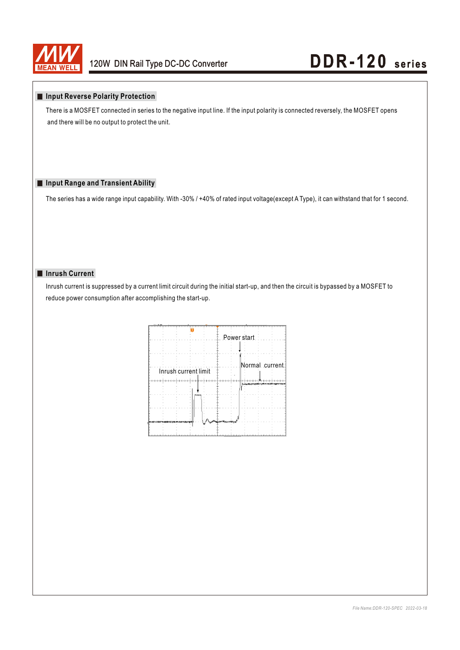

### 120W DIN Rail Type DC-DC Converter **DDR-120** series

#### **Input Reverse Polarity Protection**

There is a MOSFET connected in series to the negative input line. If the input polarity is connected reversely, the MOSFET opens and there will be no output to protect the unit.

#### **Input Range and Transient Ability**

The series has a wide range input capability. With -30% / +40% of rated input voltage(except A Type), it can withstand that for 1 second.

#### **Inrush Current**

Inrush current is suppressed by a current limit circuit during the initial start-up, and then the circuit is bypassed by a MOSFET to reduce power consumption after accomplishing the start-up.

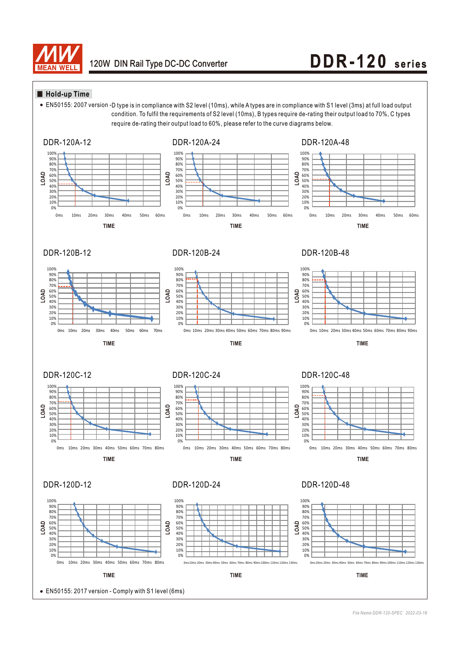

# 120W DIN Rail Type DC-DC Converter **DDR-120** *series*

#### **Hold-up Time**

EN50155: 2007 version -D type is in compliance with S2 level (10ms), while A types are in compliance with S1 level (3ms) at full load output condition. To fulfil the requirements of S2 level (10ms), B types require de-rating their output load to 70%, C types require de-rating their output load to 60%, please refer to the curve diagrams below.



EN50155: 2017 version - Comply with S1 level (6ms)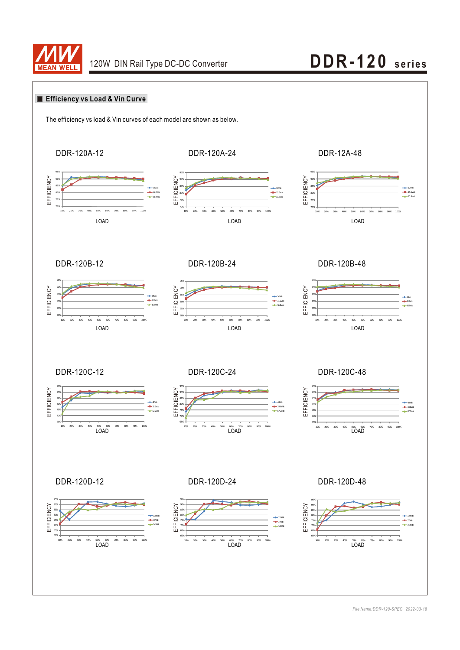

### 120W DIN Rail Type DC-DC Converter **DDR-120** *series*



*File Name:DDR-120-SPEC 2022-03-18*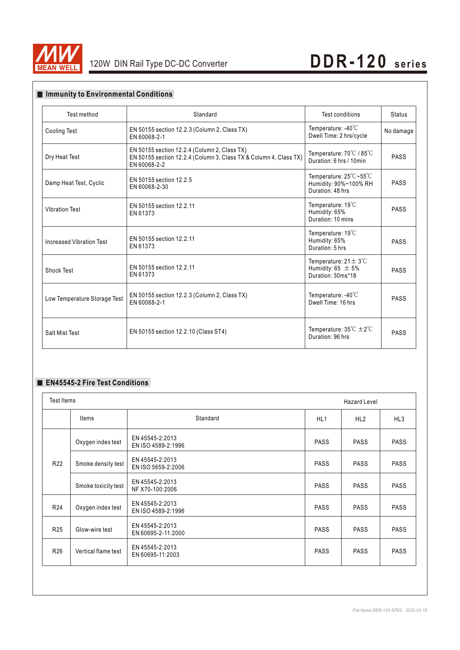

### **Immunity to Environmental Conditions**

| Test method                     | Standard                                                                                                                          | Test conditions                                                                 | <b>Status</b> |
|---------------------------------|-----------------------------------------------------------------------------------------------------------------------------------|---------------------------------------------------------------------------------|---------------|
| <b>Cooling Test</b>             | EN 50155 section 12.2.3 (Column 2, Class TX)<br>EN 60068-2-1                                                                      | Temperature: -40°C<br>Dwell Time: 2 hrs/cycle                                   | No damage     |
| Dry Heat Test                   | EN 50155 section 12.2.4 (Column 2, Class TX)<br>EN 50155 section 12.2.4 (Column 3, Class TX & Column 4, Class TX)<br>EN 60068-2-2 | Temperature: 70°C / 85°C<br>Duration: 6 hrs / 10min                             | PASS          |
| Damp Heat Test, Cyclic          | EN 50155 section 12.2.5<br>EN 60068-2-30                                                                                          | Temperature: 25°C~55°C<br>Humidity: 90%~100% RH<br>Duration: 48 hrs             | PASS          |
| <b>Vibration Test</b>           | EN 50155 section 12.2.11<br>EN 61373                                                                                              | Temperature: $19^{\circ}$ C<br>Humidity: 65%<br>Duration: 10 mins               | PASS          |
| <b>Increased Vibration Test</b> | EN 50155 section 12.2.11<br>EN 61373                                                                                              | Temperature: $19^{\circ}$ C<br>Humidity: 65%<br>Duration: 5 hrs                 | PASS          |
| Shock Test                      | EN 50155 section 12.2.11<br>EN 61373                                                                                              | Temperature: $21 \pm 3^{\circ}$ C<br>Humidity: 65 $\pm$ 5%<br>Duration: 30ms*18 | PASS          |
| Low Temperature Storage Test    | EN 50155 section 12.2.3 (Column 2, Class TX)<br>EN 60068-2-1                                                                      | Temperature: $-40^{\circ}$ C<br>Dwell Time: 16 hrs.                             | PASS          |
| Salt Mist Test                  | EN 50155 section 12.2.10 (Class ST4)                                                                                              | Temperature: $35^{\circ}C \pm 2^{\circ}C$<br>Duration: 96 hrs                   | PASS          |

### **EN45545-2 Fire Test Conditions**

|                 | Test Items<br><b>Hazard Level</b> |                                       |                 |             |             |
|-----------------|-----------------------------------|---------------------------------------|-----------------|-------------|-------------|
|                 | Items                             | Standard                              | HL <sub>1</sub> | HL2         | HL3         |
|                 | Oxygen index test                 | EN 45545-2:2013<br>EN ISO 4589-2:1996 | <b>PASS</b>     | <b>PASS</b> | <b>PASS</b> |
| R <sub>22</sub> | Smoke density test                | EN 45545-2:2013<br>EN ISO 5659-2:2006 | <b>PASS</b>     | <b>PASS</b> | <b>PASS</b> |
|                 | Smoke toxicity test               | EN 45545-2:2013<br>NF X70-100:2006    | <b>PASS</b>     | <b>PASS</b> | <b>PASS</b> |
| R <sub>24</sub> | Oxygen index test                 | EN 45545-2:2013<br>EN ISO 4589-2:1996 | <b>PASS</b>     | <b>PASS</b> | <b>PASS</b> |
| R <sub>25</sub> | Glow-wire test                    | EN 45545-2:2013<br>EN 60695-2-11:2000 | <b>PASS</b>     | <b>PASS</b> | <b>PASS</b> |
| R <sub>26</sub> | Vertical flame test               | EN 45545-2:2013<br>EN 60695-11:2003   | <b>PASS</b>     | <b>PASS</b> | <b>PASS</b> |
|                 |                                   |                                       |                 |             |             |